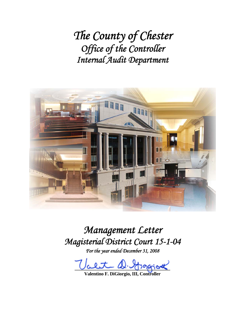*The County of Chester Office of the Controller Internal Audit Department* 



*Management Letter Magisterial District Court 15-1-04* 

*For the year ended December 31, 2008* 

alt D. Grapical

**Valentino F. DiGiorgio, III, Controller**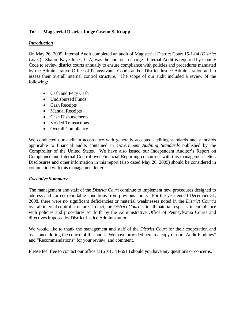# **To: Magisterial District Judge Gwenn S. Knapp**

### *Introduction*

On May 26, 2009, Internal Audit completed an audit of Magisterial District Court 15-1-04 (*District Court*). Sharon Kaye Jones, CIA, was the auditor-in-charge. Internal Audit is required by County Code to review district courts annually to ensure compliance with policies and procedures mandated by the Administrative Office of Pennsylvania Courts and/or District Justice Administration and to assess their overall internal control structure. The scope of our audit included a review of the following:

- Cash and Petty Cash
- Undisbursed Funds
- Cash Receipts
- Manual Receipts
- Cash Disbursements
- Voided Transactions
- Overall Compliance.

We conducted our audit in accordance with generally accepted auditing standards and standards applicable to financial audits contained in *Government Auditing Standards* published by the Comptroller of the United States. We have also issued our Independent Auditor's Report on Compliance and Internal Control over Financial Reporting concurrent with this management letter. Disclosures and other information in this report (also dated May 26, 2009) should be considered in conjunction with this management letter.

# *Executive Summary*

The management and staff of the *District Court* continue to implement new procedures designed to address and correct reportable conditions from previous audits. For the year ended December 31, 2008, there were no significant deficiencies or material weaknesses noted in the *District Court's*  overall internal control structure. In fact, the *District Court* is, in all material respects, in compliance with policies and procedures set forth by the Administrative Office of Pennsylvania Courts and directives imposed by District Justice Administration.

We would like to thank the management and staff of the *District Court* for their cooperation and assistance during the course of this audit. We have provided herein a copy of our "Audit Findings" and "Recommendations" for your review, and comment.

Please feel free to contact our office at (610) 344-5913 should you have any questions or concerns.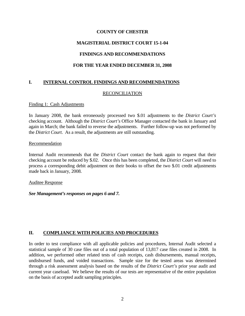# **MAGISTERIAL DISTRICT COURT 15-1-04**

# **FINDINGS AND RECOMMENDATIONS**

# **FOR THE YEAR ENDED DECEMBER 31, 2008**

# **I. INTERNAL CONTROL FINDINGS AND RECOMMENDATIONS**

### RECONCILIATION

#### Finding 1: Cash Adjustments

In January 2008, the bank erroneously processed two \$.01 adjustments to the *District Court's* checking account. Although the *District Court's* Office Manager contacted the bank in January and again in March; the bank failed to reverse the adjustments. Further follow-up was not performed by the *District Court*. As a result, the adjustments are still outstanding.

#### Recommendation

Internal Audit recommends that the *District Court* contact the bank again to request that their checking account be reduced by \$.02. Once this has been completed, the *District Court* will need to process a corresponding debit adjustment on their books to offset the two \$.01 credit adjustments made back in January, 2008.

#### Auditee Response

*See Management's responses on pages 6 and 7.* 

# **II. COMPLIANCE WITH POLICIES AND PROCEDURES**

In order to test compliance with all applicable policies and procedures, Internal Audit selected a statistical sample of 30 case files out of a total population of 13,817 case files created in 2008. In addition, we performed other related tests of cash receipts, cash disbursements, manual receipts, undisbursed funds, and voided transactions. Sample size for the tested areas was determined through a risk assessment analysis based on the results of the *District Court's* prior year audit and current year caseload. We believe the results of our tests are representative of the entire population on the basis of accepted audit sampling principles.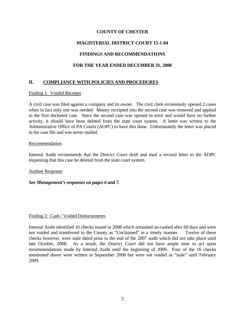# **MAGISTERIAL DISTRICT COURT 15-1-04**

### **FINDINGS AND RECOMMENDATIONS**

### **FOR THE YEAR ENDED DECEMBER 31, 2008**

# **II. COMPLIANCE WITH POLICIES AND PROCEDURES**

#### Finding 1: Voided Receipts

A civil case was filed against a company and its owner. The civil clerk erroneously opened 2 cases when in fact only one was needed. Money receipted into the second case was removed and applied to the first docketed case. Since the second case was opened in error and would have no further activity, it should have been deleted from the state court system. A letter was written to the Administrative Office of PA Courts (AOPC) to have this done. Unfortunately the letter was placed in the case file and was never mailed.

#### Recommendation

Internal Audit recommends that the *District Court* draft and mail a revised letter to the AOPC requesting that this case be deleted from the state court system.

#### Auditee Response

#### *See Management's responses on pages 6 and 7.*

#### Finding 2: Cash / Voided Disbursements

Internal Audit identified 16 checks issued in 2008 which remained un-cashed after 60 days and were not voided and transferred to the County as "Unclaimed" in a timely manner. Twelve of these checks however, were stale dated prior to the end of the 2007 audit which did not take place until late October, 2008. As a result, the *District Court* did not have ample time to act upon recommendations made by Internal Audit until the beginning of 2009. Four of the 16 checks mentioned above were written in September 2008 but were not voided as "stale" until February 2009.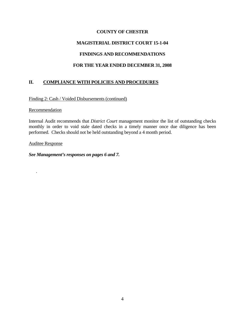# **MAGISTERIAL DISTRICT COURT 15-1-04**

# **FINDINGS AND RECOMMENDATIONS**

# **FOR THE YEAR ENDED DECEMBER 31, 2008**

# **II. COMPLIANCE WITH POLICIES AND PROCEDURES**

### Finding 2: Cash / Voided Disbursements (continued)

#### Recommendation

Internal Audit recommends that *District Court* management monitor the list of outstanding checks monthly in order to void stale dated checks in a timely manner once due diligence has been performed. Checks should not be held outstanding beyond a 4 month period.

Auditee Response

.

*See Management's responses on pages 6 and 7.*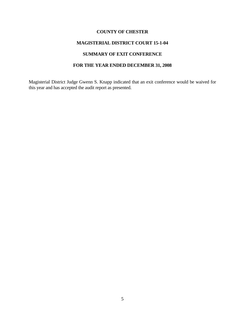# **MAGISTERIAL DISTRICT COURT 15-1-04**

### **SUMMARY OF EXIT CONFERENCE**

# **FOR THE YEAR ENDED DECEMBER 31, 2008**

Magisterial District Judge Gwenn S. Knapp indicated that an exit conference would be waived for this year and has accepted the audit report as presented.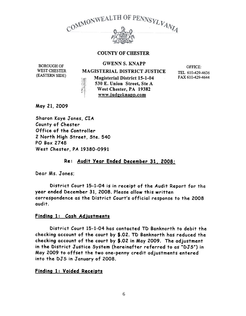

# BOROUGH OF GWENN S. KNAPP

WEST CHESTER (EASTERN SillE)

MAGISTERIAL DISTRICT JUSTICE

Magisterial District 15-1-04 530 E. Union Street, Ste A West Chester, PA 19382 www.judgeknapp.com

OFFICE: TEL 610-429-4636 FAX 610-429-4644

May 21, 2009

Sharon Kaye Jones, CIA County of Chester Office of the Controller 2 North High Street, Ste. 540 PO Box 274S: West Chester, PA 19380-0991

## Re: Audit Year Ended December 31, 2008:

Dear Ms. Jones;

District Court 15-1-04 is in receipt of the Audit Report for the year ended December 31, 2008. Please allow this written correspondence as the District Court's official response to the 2008 audit.

### Finding 1: Cash Ad.justments

District Court 15-1-04 has contacted TD Banknorth to debit the checking account of the court by \$.02. TD Banknorth has reduced the checking account of the court by \$.02 in May 2009. The adjustment in the District Justice System (hereinafter referred to as "DJS") in May 2009 to offset the two one-penny credit adjustments entered into the DJS in January of 2008.

### Finding 1: Voided Receipts